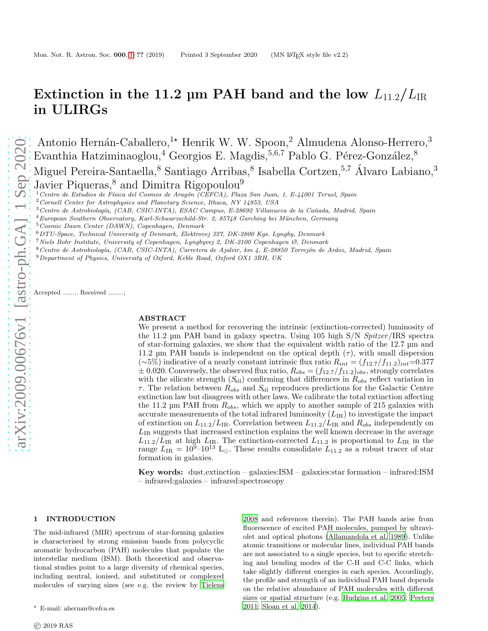# Extinction in the 11.2 µm PAH band and the low  $L_{11.2}/L_{IR}$ in ULIRGs

Antonio Hernán-Caballero,<sup>1</sup>\* Henrik W. W. Spoon,<sup>2</sup> Almudena Alonso-Herrero,<sup>3</sup> Evanthia Hatziminaoglou,<sup>4</sup> Georgios E. Magdis, 5,6,7 Pablo G. Pérez-González, 8 Miguel Pereira-Santaella, <sup>8</sup> Santiago Arribas, <sup>8</sup> Isabella Cortzen, <sup>5,7</sup> Álvaro Labiano, <sup>3</sup> Javier Piqueras,<sup>8</sup> and Dimitra Rigopoulou<sup>9</sup>

<sup>1</sup> Centro de Estudios de Física del Cosmos de Aragón (CEFCA), Plaza San Juan, 1, E-44001 Teruel, Spain

 $3$ Centro de Astrobiología, (CAB, CSIC-INTA), ESAC Campus, E-28692 Villanueva de la Cañada, Madrid, Spain

<sup>5</sup>Cosmic Dawn Center (DAWN), Copenhagen, Denmark

- <sup>7</sup>Niels Bohr Institute, University of Copenhagen, Lyngbyvej 2, DK-2100 Copenhagen Ø, Denmark
- 8 Centro de Astrobiología, (CAB, CSIC-INTA), Carretera de Ajalvir, km 4, E-28850 Torrejón de Ardoz, Madrid, Spain

 $9$ Department of Physics, University of Oxford, Keble Road, Oxford OX1 3RH, UK

Accepted ........ Received ........;

#### ABSTRACT

We present a method for recovering the intrinsic (extinction-corrected) luminosity of the 11.2 µm PAH band in galaxy spectra. Using 105 high S/N Spitzer/IRS spectra of star-forming galaxies, we show that the equivalent width ratio of the 12.7 µm and 11.2 µm PAH bands is independent on the optical depth  $(\tau)$ , with small dispersion  $(\sim 5\%)$  indicative of a nearly constant intrinsic flux ratio  $R_{int} = (f_{12.7}/f_{11.2})_{int} = 0.377$  $\pm$  0.020. Conversely, the observed flux ratio,  $R_{obs} = (f_{12.7}/f_{11.2})_{obs}$ , strongly correlates with the silicate strength  $(S_{\rm sil})$  confirming that differences in  $R_{obs}$  reflect variation in  $\tau$ . The relation between  $R_{obs}$  and  $S_{sil}$  reproduces predictions for the Galactic Centre extinction law but disagrees with other laws. We calibrate the total extinction affecting the 11.2  $\mu$ m PAH from  $R_{obs}$ , which we apply to another sample of 215 galaxies with accurate measurements of the total infrared luminosity  $(L_{IR})$  to investigate the impact of extinction on  $L_{11.2}/L_{IR}$ . Correlation between  $L_{11.2}/L_{IR}$  and  $R_{obs}$  independently on  $L_{IR}$  suggests that increased extinction explains the well known decrease in the average  $L_{11.2}/L_{IR}$  at high  $L_{IR}$ . The extinction-corrected  $L_{11.2}$  is proportional to  $L_{IR}$  in the range  $L_{IR} = 10^{9}$ – $10^{13}$  L<sub>O</sub>. These results consolidate  $L_{11.2}$  as a robust tracer of star formation in galaxies.

Key words: dust, extinction – galaxies: $ISM - galaxies:star$  formation – infrared:ISM – infrared:galaxies – infrared:spectroscopy

#### <span id="page-0-0"></span>1 INTRODUCTION

The mid-infrared (MIR) spectrum of star-forming galaxies is characterised by strong emission bands from polycyclic aromatic hydrocarbon (PAH) molecules that populate the interstellar medium (ISM). Both theoretical and observational studies point to a large diversity of chemical species, including neutral, ionised, and substituted or complexed molecules of varying sizes (see e.g. the review by [Tielens](#page-10-0)

[2008](#page-10-0) and references therein). The PAH bands arise from fluorescence of excited PAH molecules, pumped by ultraviolet and optical photons [\(Allamandola et al. 1989](#page-9-0)). Unlike atomic transitions or molecular lines, individual PAH bands are not associated to a single species, but to specific stretching and bending modes of the C-H and C-C links, which take slightly different energies in each species. Accordingly, the profile and strength of an individual PAH band depends on the relative abundance of PAH molecules with different sizes or spatial structure (e.g. [Hudgins et al. 2005;](#page-10-1) [Peeters](#page-10-2) [2011](#page-10-2); [Sloan et al. 2014](#page-10-3)).

<sup>&</sup>lt;sup>2</sup> Cornell Center for Astrophysics and Planetary Science, Ithaca, NY 14853, USA

 $4$ European Southern Observatory, Karl-Schwarzschild-Str. 2, 85748 Garching bei München, Germany

 $6$  DTU-Space, Technical University of Denmark, Elektrovej 327, DK-2800 Kgs. Lyngby, Denmark

<sup>⋆</sup> E-mail: ahernan@cefca.es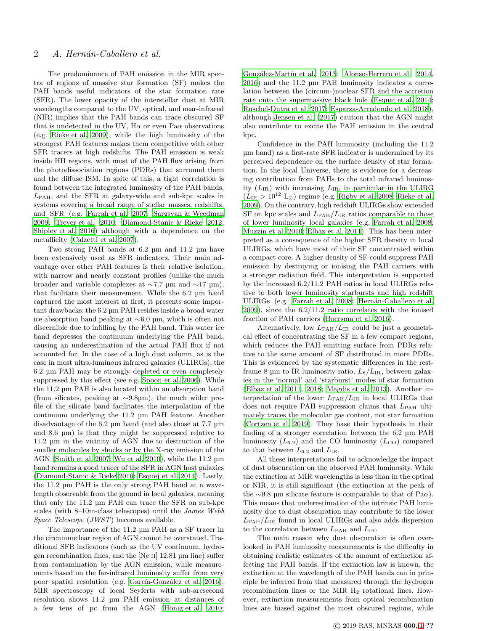The predominance of PAH emission in the MIR spectra of regions of massive star formation (SF) makes the PAH bands useful indicators of the star formation rate (SFR). The lower opacity of the interstellar dust at MIR wavelengths compared to the UV, optical, and near-infrared (NIR) implies that the PAH bands can trace obscured SF that is undetected in the UV,  $H\alpha$  or even Pa $\alpha$  observations (e.g. [Rieke et al. 2009](#page-10-4)), while the high luminosity of the strongest PAH features makes them competitive with other SFR tracers at high redshifts. The PAH emission is weak inside HII regions, with most of the PAH flux arising from the photodissociation regions (PDRs) that surround them and the diffuse ISM. In spite of this, a tight correlation is found between the integrated luminosity of the PAH bands,  $L_{\text{PAH}}$ , and the SFR at galaxy-wide and sub-kpc scales in systems covering a broad range of stellar masses, redshifts, and SFR (e.g. [Farrah et al. 2007](#page-10-5); [Sargsyan & Weedman](#page-10-6) [2009](#page-10-6); [Treyer et al. 2010](#page-10-7); [Diamond-Stanic & Rieke 2012;](#page-10-8) [Shipley et al. 2016\)](#page-10-9) although with a dependence on the metallicity [\(Calzetti et al. 2007](#page-10-10)).

Two strong PAH bands at 6.2 µm and 11.2 µm have been extensively used as SFR indicators. Their main advantage over other PAH features is their relative isolation, with narrow and nearly constant profiles (unlike the much broader and variable complexes at ∼7.7 µm and ∼17 µm), that facilitate their measurement. While the 6.2 µm band captured the most interest at first, it presents some important drawbacks: the 6.2 µm PAH resides inside a broad water ice absorption band peaking at ∼6.0 µm, which is often not discernible due to infilling by the PAH band. This water ice band depresses the continuum underlying the PAH band, causing an underestimation of the actual PAH flux if not accounted for. In the case of a high dust column, as is the case in most ultra-luminous infrared galaxies (ULIRGs), the 6.2 µm PAH may be strongly depleted or even completely suppressed by this effect (see e.g. [Spoon et al. 2006](#page-10-11)). While the 11.2 µm PAH is also located within an absorption band (from silicates, peaking at ∼9.8µm), the much wider profile of the silicate band facilitates the interpolation of the continuum underlying the 11.2 µm PAH feature. Another disadvantage of the 6.2 µm band (and also those at 7.7 µm and 8.6 µm) is that they might be suppressed relative to 11.2 µm in the vicinity of AGN due to destruction of the smaller molecules by shocks or by the X-ray emission of the AGN [\(Smith et al. 2007;](#page-10-12) [Wu et al. 2010](#page-10-13)), while the 11.2 µm band remains a good tracer of the SFR in AGN host galaxies [\(Diamond-Stanic & Rieke 2010](#page-10-14); [Esquej et al. 2014](#page-10-15)). Lastly, the 11.2 µm PAH is the only strong PAH band at a wavelength observable from the ground in local galaxies, meaning that only the 11.2 µm PAH can trace the SFR on sub-kpc scales (with 8–10m-class telescopes) until the James Webb Space Telescope (JWST) becomes available.

The importance of the 11.2 µm PAH as a SF tracer in the circumnuclear region of AGN cannot be overstated. Traditional SFR indicators (such as the UV continuum, hydrogen recombination lines, and the [Ne ii] 12.81 µm line) suffer from contamination by the AGN emission, while measurements based on the far-infrared luminosity suffer from very poor spatial resolution (e.g. García-González et al. 2016). MIR spectroscopy of local Seyferts with sub-arcsecond resolution shows 11.2 µm PAH emission at distances of a few tens of pc from the AGN (Hönig et al. 2010;

González-Martín et al. 2013; [Alonso-Herrero et al. 2014](#page-10-19), [2016](#page-10-20)) and the 11.2 µm PAH luminosity indicates a correlation between the (circum-)nuclear SFR and the accretion rate onto the supermassive black hole [\(Esquej et al. 2014](#page-10-15); [Ruschel-Dutra et al. 2017;](#page-10-21) [Esparza-Arredondo et al. 2018](#page-10-22)), although [Jensen et al. \(2017\)](#page-10-23) caution that the AGN might also contribute to excite the PAH emission in the central kpc.

Confidence in the PAH luminosity (including the 11.2 µm band) as a first-rate SFR indicator is undermined by its perceived dependence on the surface density of star formation. In the local Universe, there is evidence for a decreasing contribution from PAHs to the total infrared luminosity  $(L_{IR})$  with increasing  $L_{IR}$ , in particular in the ULIRG  $(L_{IR} > 10^{12} \text{ L}_{\odot})$  regime (e.g. [Rigby et al. 2008](#page-10-24); [Rieke et al.](#page-10-4) [2009](#page-10-4)). On the contrary, high redshift ULIRGs show extended SF on kpc scales and  $L_{\text{PAH}}/L_{\text{IR}}$  ratios comparable to those of lower luminosity local galaxies (e.g. [Farrah et al. 2008](#page-10-25); [Muzzin et al. 2010;](#page-10-26) [Elbaz et al. 2011](#page-10-27)). This has been interpreted as a consequence of the higher SFR density in local ULIRGs, which have most of their SF concentrated within a compact core. A higher density of SF could suppress PAH emission by destroying or ionising the PAH carriers with a stronger radiation field. This interpretation is supported by the increased 6.2/11.2 PAH ratios in local ULIRGs relative to both lower luminosity starbursts and high redshift ULIRGs (e.g. [Farrah et al. 2008](#page-10-25); Hernán-Caballero et al. [2009](#page-10-28)), since the 6.2/11.2 ratio correlates with the ionised fraction of PAH carriers [\(Boersma et al. 2016](#page-10-29)).

Alternatively, low  $L_{\text{PAH}}/L_{\text{IR}}$  could be just a geometrical effect of concentrating the SF in a few compact regions, which reduces the PAH emitting surface from PDRs relative to the same amount of SF distributed in more PDRs. This is evidenced by the systematic differences in the restframe 8 µm to IR luminosity ratio,  $L_8/L_{IR}$ , between galaxies in the 'normal' and 'starburst' modes of star formation [\(Elbaz et al. 2011,](#page-10-27) [2018](#page-10-30); [Magdis et al. 2013](#page-10-31)). Another interpretation of the lower  $L_{\text{PAH}}/L_{\text{IR}}$  in local ULIRGs that does not require PAH suppression claims that  $L_{\rm PAH}$  ultimately traces the molecular gas content, not star formation [\(Cortzen et al. 2019\)](#page-10-32). They base their hypothesis in their finding of a stronger correlation between the 6.2 µm PAH luminosity  $(L_{6.2})$  and the CO luminosity  $(L_{\text{CO}})$  compared to that between  $L_{6.2}$  and  $L_{IR}$ .

All these interpretations fail to acknowledge the impact of dust obscuration on the observed PAH luminosity. While the extinction at MIR wavelengths is less than in the optical or NIR, it is still significant (the extinction at the peak of the ∼9.8 µm silicate feature is comparable to that of Pa $\alpha$ ). This means that underestimation of the intrinsic PAH luminosity due to dust obscuration may contribute to the lower  $L_{\rm PAH}/L_{\rm IR}$  found in local ULIRGs and also adds dispersion to the correlation between  $L_{\rm PAH}$  and  $L_{\rm IR}$ .

The main reason why dust obscuration is often overlooked in PAH luminosity measurements is the difficulty in obtaining realistic estimates of the amount of extinction affecting the PAH bands. If the extinction law is known, the extinction at the wavelength of the PAH bands can in principle be inferred from that measured through the hydrogen recombination lines or the MIR H<sup>2</sup> rotational lines. However, extinction measurements from optical recombination lines are biased against the most obscured regions, while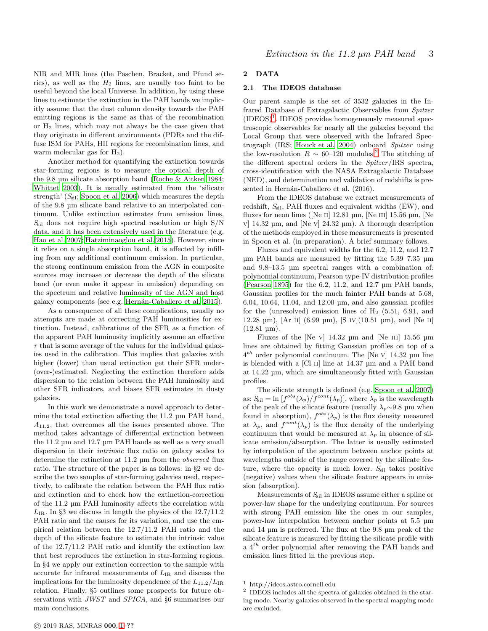NIR and MIR lines (the Paschen, Bracket, and Pfund series), as well as the  $H_2$  lines, are usually too faint to be useful beyond the local Universe. In addition, by using these lines to estimate the extinction in the PAH bands we implicitly assume that the dust column density towards the PAH emitting regions is the same as that of the recombination or  $H_2$  lines, which may not always be the case given that they originate in different environments (PDRs and the diffuse ISM for PAHs, HII regions for recombination lines, and warm molecular gas for  $H_2$ ).

Another method for quantifying the extinction towards star-forming regions is to measure the optical depth of the 9.8 µm silicate absorption band [\(Roche & Aitken 1984;](#page-10-33) [Whittet 2003](#page-10-34)). It is usually estimated from the 'silicate strength'  $(S_{\rm sil};$  [Spoon et al. 2006](#page-10-11)) which measures the depth of the 9.8 µm silicate band relative to an interpolated continuum. Unlike extinction estimates from emission lines,  $S_{\text{sil}}$  does not require high spectral resolution or high  $S/N$ data, and it has been extensively used in the literature (e.g. [Hao et al. 2007](#page-10-35); [Hatziminaoglou et al. 2015](#page-10-36)). However, since it relies on a single absorption band, it is affected by infilling from any additional continuum emission. In particular, the strong continuum emission from the AGN in composite sources may increase or decrease the depth of the silicate band (or even make it appear in emission) depending on the spectrum and relative luminosity of the AGN and host galaxy components (see e.g. Hernán-Caballero et al. 2015).

As a consequence of all these complications, usually no attempts are made at correcting PAH luminosities for extinction. Instead, calibrations of the SFR as a function of the apparent PAH luminosity implicitly assume an effective  $\tau$  that is some average of the values for the individual galaxies used in the calibration. This implies that galaxies with higher (lower) than usual extinction get their SFR under-(over-)estimated. Neglecting the extinction therefore adds dispersion to the relation between the PAH luminosity and other SFR indicators, and biases SFR estimates in dusty galaxies.

In this work we demonstrate a novel approach to determine the total extinction affecting the 11.2 µm PAH band,  $A_{11,2}$ , that overcomes all the issues presented above. The method takes advantage of differential extinction between the 11.2 µm and 12.7 µm PAH bands as well as a very small dispersion in their intrinsic flux ratio on galaxy scales to determine the extinction at 11.2 µm from the observed flux ratio. The structure of the paper is as follows: in §2 we describe the two samples of star-forming galaxies used, respectively, to calibrate the relation between the PAH flux ratio and extinction and to check how the extinction-correction of the 11.2 µm PAH luminosity affects the correlation with  $L_{IR}$ . In §3 we discuss in length the physics of the  $12.7/11.2$ PAH ratio and the causes for its variation, and use the empirical relation between the 12.7/11.2 PAH ratio and the depth of the silicate feature to estimate the intrinsic value of the 12.7/11.2 PAH ratio and identify the extinction law that best reproduces the extinction in star-forming regions. In §4 we apply our extinction correction to the sample with accurate far infrared measurements of  $L_{IR}$  and discuss the implications for the luminosity dependence of the  $L_{11.2}/L_{IR}$ relation. Finally, §5 outlines some prospects for future observations with JWST and SPICA, and §6 summarises our main conclusions.

# 2 DATA

# 2.1 The IDEOS database

Our parent sample is the set of 3532 galaxies in the Infrared Database of Extragalactic Observables from Spitzer  $(IDEOS)^1$  $(IDEOS)^1$ . IDEOS provides homogeneously measured spectroscopic observables for nearly all the galaxies beyond the Local Group that were observed with the Infrared Spectrograph (IRS; [Houck et al. 2004](#page-10-38)) onboard Spitzer using the low-resolution  $R \sim 60-120$  $R \sim 60-120$  $R \sim 60-120$  modules.<sup>2</sup> The stitching of the different spectral orders in the Spitzer/IRS spectra, cross-identification with the NASA Extragalactic Database (NED), and determination and validation of redshifts is presented in Hernán-Caballero et al. (2016).

From the IDEOS database we extract measurements of redshift,  $S_{\text{sil}}$ , PAH fluxes and equivalent widths (EW), and fluxes for neon lines ([Ne II]  $12.81 \text{ µm}$ , [Ne III]  $15.56 \text{ µm}$ , [Ne v] 14.32 µm, and [Ne v] 24.32 µm). A thorough description of the methods employed in these measurements is presented in Spoon et al. (in preparation). A brief summary follows.

Fluxes and equivalent widths for the 6.2, 11.2, and 12.7 µm PAH bands are measured by fitting the 5.39–7.35 µm and 9.8–13.5 µm spectral ranges with a combination of: polynomial continuum, Pearson type-IV distribution profiles [\(Pearson 1895](#page-10-39)) for the 6.2, 11.2, and 12.7 µm PAH bands, Gaussian profiles for the much fainter PAH bands at 5.68, 6.04, 10.64, 11.04, and 12.00 µm, and also gaussian profiles for the (unresolved) emission lines of  $H_2$  (5.51, 6.91, and 12.28  $\mu$ m), [Ar II] (6.99  $\mu$ m), [S IV](10.51  $\mu$ m), and [Ne II]  $(12.81 \text{ }\mu\text{m}).$ 

Fluxes of the  $[Ne\ V]$  14.32 µm and  $[Ne\ III]$  15.56 µm lines are obtained by fitting Gaussian profiles on top of a  $4^{th}$  order polynomial continuum. The [Ne v] 14.32 µm line is blended with a [Cl ii] line at 14.37 µm and a PAH band at 14.22 µm, which are simultaneously fitted with Gaussian profiles.

The silicate strength is defined (e.g. [Spoon et al. 2007](#page-10-40)) as:  $S_{\rm{sil}} = \ln \left[ f^{\rm{obs}}(\lambda_p) / f^{\rm{cont}}(\lambda_p) \right]$ , where  $\lambda_p$  is the wavelength of the peak of the silicate feature (usually  $\lambda_p \sim 9.8$  µm when found in absorption),  $f^{obs}(\lambda_p)$  is the flux density measured at  $\lambda_p$ , and  $f^{cont}(\lambda_p)$  is the flux density of the underlying continuum that would be measured at  $\lambda_p$  in absence of silicate emission/absorption. The latter is usually estimated by interpolation of the spectrum between anchor points at wavelengths outside of the range covered by the silicate feature, where the opacity is much lower.  $S_{\rm{sil}}$  takes positive (negative) values when the silicate feature appears in emission (absorption).

Measurements of  $S_{\text{sil}}$  in IDEOS assume either a spline or power-law shape for the underlying continuum. For sources with strong PAH emission like the ones in our samples, power-law interpolation between anchor points at 5.5 µm and 14 µm is preferred. The flux at the 9.8 µm peak of the silicate feature is measured by fitting the silicate profile with a  $4^{th}$  order polynomial after removing the PAH bands and emission lines fitted in the previous step.

<sup>1</sup> http://ideos.astro.cornell.edu

<span id="page-2-1"></span><span id="page-2-0"></span><sup>2</sup> IDEOS includes all the spectra of galaxies obtained in the staring mode. Nearby galaxies observed in the spectral mapping mode are excluded.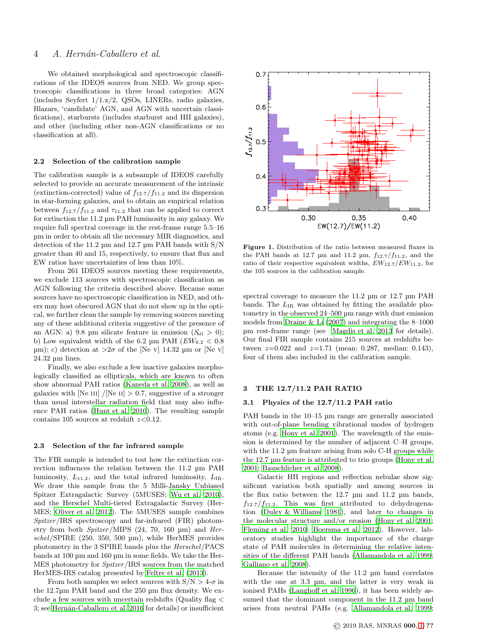# 4 A. Hernán-Caballero et al.

We obtained morphological and spectroscopic classifications of the IDEOS sources from NED. We group spectroscopic classifications in three broad categories: AGN (includes Seyfert 1/1.x/2, QSOs, LINERs, radio galaxies, Blazars, 'candidate' AGN, and AGN with uncertain classifications), starbursts (includes starburst and HII galaxies), and other (including other non-AGN classifications or no classification at all).

#### 2.2 Selection of the calibration sample

The calibration sample is a subsample of IDEOS carefully selected to provide an accurate measurement of the intrinsic (extinction-corrected) value of  $f_{12.7}/f_{11.2}$  and its dispersion in star-forming galaxies, and to obtain an empirical relation between  $f_{12.7}/f_{11.2}$  and  $\tau_{11.2}$  that can be applied to correct for extinction the 11.2 µm PAH luminosity in any galaxy. We require full spectral coverage in the rest-frame range 5.5–16 µm in order to obtain all the necessary MIR diagnostics, and detection of the 11.2 µm and 12.7 µm PAH bands with S/N greater than 40 and 15, respectively, to ensure that flux and EW ratios have uncertainties of less than 10%.

From 261 IDEOS sources meeting these requirements, we exclude 113 sources with spectroscopic classification as AGN following the criteria described above. Because some sources have no spectroscopic classification in NED, and others may host obscured AGN that do not show up in the optical, we further clean the sample by removing sources meeting any of these additional criteria suggestive of the presence of an AGN: a) 9.8 µm silicate feature in emission  $(S_{\rm sil} > 0)$ ; b) Low equivalent width of the 6.2 µm PAH ( $EW_{6.2}$  < 0.8  $\mu$ m); c) detection at  $>2\sigma$  of the [Ne v] 14.32  $\mu$ m or [Ne v] 24.32 µm lines.

Finally, we also exclude a few inactive galaxies morphologically classified as ellipticals, which are known to often show abnormal PAH ratios [\(Kaneda et al. 2008](#page-10-41)), as well as galaxies with [Ne III] /[Ne II]  $> 0.7$ , suggestive of a stronger than usual interstellar radiation field that may also influence PAH ratios [\(Hunt et al. 2010](#page-10-42)). The resulting sample contains 105 sources at redshift  $z<0.12$ .

# <span id="page-3-1"></span>2.3 Selection of the far infrared sample

The FIR sample is intended to test how the extinction correction influences the relation between the 11.2 µm PAH luminosity,  $L_{11.2}$ , and the total infrared luminosity,  $L_{IR}$ . We draw this sample from the 5 Milli-Jansky Unbiased Spitzer Extragalactic Survey (5MUSES; [Wu et al. 2010](#page-10-13)), and the Herschel Multi-tiered Extragalactic Survey (Her-MES; [Oliver et al. 2012](#page-10-43)). The 5MUSES sample combines Spitzer/IRS spectroscopy and far-infrared (FIR) photometry from both Spitzer/MIPS (24, 70, 160 µm) and Herschel/SPIRE (250, 350, 500 µm), while HerMES provides photometry in the 3 SPIRE bands plus the Herschel/PACS bands at 100 µm and 160 µm in some fields. We take the Her-MES photometry for Spitzer/IRS sources from the matched HerMES-IRS catalog presented by [Feltre et al. \(2013](#page-10-44)).

From both samples we select sources with  $S/N > 4-\sigma$  in the 12.7µm PAH band and the 250 µm flux density. We exclude a few sources with uncertain redshifts (Quality flag < 3; see Hernán-Caballero et al. 2016 for details) or insufficient



<span id="page-3-0"></span>Figure 1. Distribution of the ratio between measured fluxes in the PAH bands at 12.7  $\mu$ m and 11.2  $\mu$ m,  $f_{12.7}/f_{11.2}$ , and the ratio of their respective equivalent widths,  $EW_{12.7}/EW_{11.2}$ , for the 105 sources in the calibration sample.

spectral coverage to measure the 11.2  $\mu$ m or 12.7  $\mu$ m PAH bands. The  $L_{IR}$  was obtained by fitting the available photometry in the observed 24–500 µm range with dust emission models from Draine  $\&$  Li (2007) and integrating the 8–1000 µm rest-frame range (see [Magdis et al. 2013](#page-10-31) for details). Our final FIR sample contains 215 sources at redshifts between  $z=0.022$  and  $z=1.71$  (mean: 0.287, median: 0.143), four of them also included in the calibration sample.

#### 3 THE 12.7/11.2 PAH RATIO

# 3.1 Physics of the 12.7/11.2 PAH ratio

PAH bands in the 10–15 µm range are generally associated with out-of-plane bending vibrational modes of hydrogen atoms (e.g. [Hony et al. 2001\)](#page-10-47). The wavelength of the emission is determined by the number of adjacent C–H groups, with the 11.2 µm feature arising from solo C-H groups while the 12.7 µm feature is attributed to trio groups [\(Hony et al.](#page-10-47) [2001](#page-10-47); [Bauschlicher et al. 2008\)](#page-10-48).

Galactic HII regions and reflection nebulae show significant variation both spatially and among sources in the flux ratio between the 12.7 µm and 11.2 µm bands,  $f_{12.7}/f_{11.2}$ . This was first attributed to dehydrogenation [\(Duley & Williams 1981\)](#page-10-49), and later to changes in the molecular structure and/or erosion [\(Hony et al. 2001](#page-10-47); [Fleming et al. 2010](#page-10-50); [Boersma et al. 2012](#page-10-51)). However, laboratory studies highlight the importance of the charge state of PAH molecules in determining the relative intensities of the different PAH bands [\(Allamandola et al. 1999](#page-10-52); [Galliano et al. 2008](#page-10-53)).

Because the intensity of the 11.2 µm band correlates with the one at 3.3 µm, and the latter is very weak in ionised PAHs [\(Langhoff et al. 1996](#page-10-54)), it has been widely assumed that the dominant component in the 11.2  $\mu$ m band arises from neutral PAHs (e.g. [Allamandola et al. 1999](#page-10-52);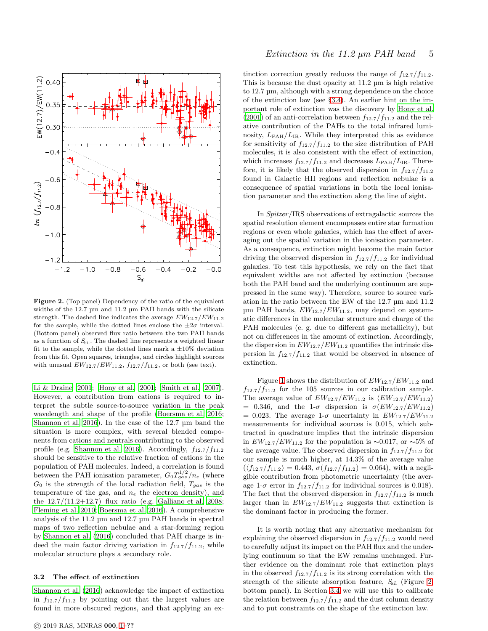

<span id="page-4-0"></span>Figure 2. (Top panel) Dependency of the ratio of the equivalent widths of the 12.7 µm and 11.2 µm PAH bands with the silicate strength. The dashed line indicates the average  $EW_{12.7}/EW_{11.2}$ for the sample, while the dotted lines enclose the  $\pm 2\sigma$  interval. (Bottom panel) observed flux ratio between the two PAH bands as a function of  $S_{\rm{sil}}$ . The dashed line represents a weighted linear fit to the sample, while the dotted lines mark a  $\pm 10\%$  deviation from this fit. Open squares, triangles, and circles highlight sources with unusual  $EW_{12.7}/EW_{11.2}$ ,  $f_{12.7}/f_{11.2}$ , or both (see text).

[Li & Draine 2001](#page-10-55); [Hony et al. 2001;](#page-10-47) [Smith et al. 2007](#page-10-12)). However, a contribution from cations is required to interpret the subtle source-to-source variation in the peak wavelength and shape of the profile [\(Boersma et al. 2016;](#page-10-29) [Shannon et al. 2016](#page-10-56)). In the case of the 12.7 µm band the situation is more complex, with several blended components from cations and neutrals contributing to the observed profile (e.g. [Shannon et al. 2016](#page-10-56)). Accordingly,  $f_{12.7}/f_{11.2}$ should be sensitive to the relative fraction of cations in the population of PAH molecules. Indeed, a correlation is found between the PAH ionisation parameter,  $G_0 T_{gas}^{1/2}/n_e$  (where  $G_0$  is the strength of the local radiation field,  $T_{gas}$  is the temperature of the gas, and  $n_e$  the electron density), and the  $12.7/(11.2+12.7)$  flux ratio (e.g. [Galliano et al. 2008;](#page-10-53) [Fleming et al. 2010](#page-10-50); [Boersma et al. 2016](#page-10-29)). A comprehensive analysis of the 11.2 µm and 12.7 µm PAH bands in spectral maps of two reflection nebulae and a star-forming region by [Shannon et al. \(2016\)](#page-10-56) concluded that PAH charge is indeed the main factor driving variation in  $f_{12.7}/f_{11.2}$ , while molecular structure plays a secondary role.

#### 3.2 The effect of extinction

[Shannon et al. \(2016](#page-10-56)) acknowledge the impact of extinction in  $f_{12.7}/f_{11.2}$  by pointing out that the largest values are found in more obscured regions, and that applying an ex-

# Extinction in the 11.2  $\mu$ m PAH band 5

tinction correction greatly reduces the range of  $f_{12.7}/f_{11.2}$ . This is because the dust opacity at 11.2 µm is high relative to 12.7 µm, although with a strong dependence on the choice of the extinction law (see §[3.4\)](#page-5-0). An earlier hint on the important role of extinction was the discovery by [Hony et al.](#page-10-47) [\(2001](#page-10-47)) of an anti-correlation between  $f_{12.7}/f_{11.2}$  and the relative contribution of the PAHs to the total infrared luminosity,  $L_{\text{PAH}}/L_{\text{IR}}$ . While they interpreted this as evidence for sensitivity of  $f_{12.7}/f_{11.2}$  to the size distribution of PAH molecules, it is also consistent with the effect of extinction, which increases  $f_{12.7}/f_{11.2}$  and decreases  $L_{\rm PAH}/L_{\rm IR}$ . Therefore, it is likely that the observed dispersion in  $f_{12.7}/f_{11.2}$ found in Galactic HII regions and reflection nebulae is a consequence of spatial variations in both the local ionisation parameter and the extinction along the line of sight.

In Spitzer/IRS observations of extragalactic sources the spatial resolution element encompasses entire star formation regions or even whole galaxies, which has the effect of averaging out the spatial variation in the ionisation parameter. As a consequence, extinction might become the main factor driving the observed dispersion in  $f_{12.7}/f_{11.2}$  for individual galaxies. To test this hypothesis, we rely on the fact that equivalent widths are not affected by extinction (because both the PAH band and the underlying continuum are suppressed in the same way). Therefore, source to source variation in the ratio between the EW of the 12.7 µm and 11.2  $\mu$ m PAH bands,  $EW_{12.7}/EW_{11.2}$ , may depend on systematic differences in the molecular structure and charge of the PAH molecules (e. g. due to different gas metallicity), but not on differences in the amount of extinction. Accordingly, the dispersion in  $EW_{12.7}/EW_{11.2}$  quantifies the intrinsic dispersion in  $f_{12.7}/f_{11.2}$  that would be observed in absence of extinction.

Figure [1](#page-3-0) shows the distribution of  $EW_{12.7}/EW_{11.2}$  and  $f_{12.7}/f_{11.2}$  for the 105 sources in our calibration sample. The average value of  $EW_{12.7}/EW_{11.2}$  is  $\langle EW_{12.7}/EW_{11.2}\rangle$ = 0.346, and the 1- $\sigma$  dispersion is  $\sigma(EW_{12.7}/EW_{11.2})$  $= 0.023$ . The average 1- $\sigma$  uncertainty in  $EW_{12.7}/EW_{11.2}$ measurements for individual sources is 0.015, which subtracted in quadrature implies that the intrinsic dispersion in  $EW_{12.7}/EW_{11.2}$  for the population is ~0.017, or ~5% of the average value. The observed dispersion in  $f_{12.7}/f_{11.2}$  for our sample is much higher, at 14.3% of the average value  $(\langle f_{12.7}/f_{11.2}\rangle = 0.443, \sigma(f_{12.7}/f_{11.2}) = 0.064)$ , with a negligible contribution from photometric uncertainty (the average 1- $\sigma$  error in  $f_{12.7}/f_{11.2}$  for individual sources is 0.018). The fact that the observed dispersion in  $f_{12.7}/f_{11.2}$  is much larger than in  $EW_{12.7}/EW_{11.2}$  suggests that extinction is the dominant factor in producing the former.

It is worth noting that any alternative mechanism for explaining the observed dispersion in  $f_{12.7}/f_{11.2}$  would need to carefully adjust its impact on the PAH flux and the underlying continuum so that the EW remains unchanged. Further evidence on the dominant role that extinction plays in the observed  $f_{12.7}/f_{11.2}$  is its strong correlation with the strength of the silicate absorption feature,  $S_{\text{sil}}$  (Figure [2,](#page-4-0) bottom panel). In Section [3.4](#page-5-0) we will use this to calibrate the relation between  $f_{12.7}/f_{11.2}$  and the dust column density and to put constraints on the shape of the extinction law.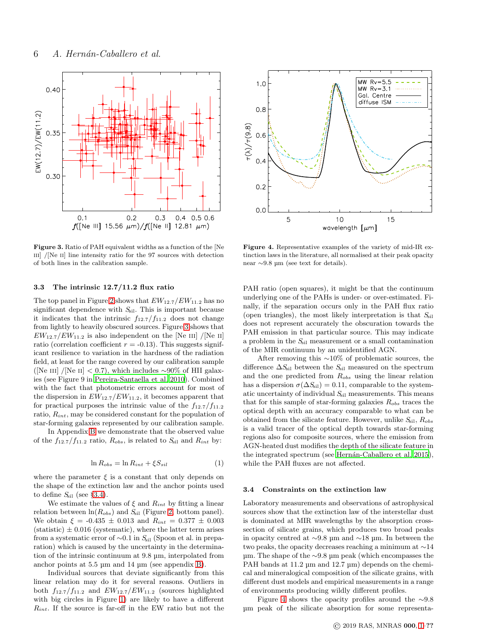

<span id="page-5-1"></span>Figure 3. Ratio of PAH equivalent widths as a function of the [Ne III] / $[Ne II]$  line intensity ratio for the 97 sources with detection of both lines in the calibration sample.

# <span id="page-5-3"></span>3.3 The intrinsic 12.7/11.2 flux ratio

The top panel in Figure [2](#page-4-0) shows that  $EW_{12.7}/EW_{11.2}$  has no significant dependence with  $S_{\text{sil}}$ . This is important because it indicates that the intrinsic  $f_{12.7}/f_{11.2}$  does not change from lightly to heavily obscured sources. Figure [3](#page-5-1) shows that  $EW_{12.7}/EW_{11.2}$  is also independent on the [Ne III] /[Ne II] ratio (correlation coefficient  $r = -0.13$ ). This suggests significant resilience to variation in the hardness of the radiation field, at least for the range covered by our calibration sample ([Ne III] /[Ne II] < 0.7), which includes ~90% of HII galaxies (see Figure 9 in [Pereira-Santaella et al. 2010\)](#page-10-57). Combined with the fact that photometric errors account for most of the dispersion in  $EW_{12.7}/EW_{11.2}$ , it becomes apparent that for practical purposes the intrinsic value of the  $f_{12.7}/f_{11.2}$ ratio,  $R_{int}$ , may be considered constant for the population of star-forming galaxies represented by our calibration sample.

In Appendix [B](#page-12-0) we demonstrate that the observed value of the  $f_{12.7}/f_{11.2}$  ratio,  $R_{obs}$ , is related to  $S_{sil}$  and  $R_{int}$  by:

$$
\ln R_{obs} = \ln R_{int} + \xi S_{sil} \tag{1}
$$

where the parameter  $\xi$  is a constant that only depends on the shape of the extinction law and the anchor points used to define  $S_{\rm{sil}}$  (see §[3.4\)](#page-5-0).

We estimate the values of  $\xi$  and  $R_{int}$  by fitting a linear relation between  $ln(R_{obs})$  and  $S_{sil}$  (Figure [2,](#page-4-0) bottom panel). We obtain  $\xi = -0.435 \pm 0.013$  and  $R_{int} = 0.377 \pm 0.003$  $(statistic) \pm 0.016$  (systematic), where the latter term arises from a systematic error of  $\sim$ 0.1 in S<sub>sil</sub> (Spoon et al. in preparation) which is caused by the uncertainty in the determination of the intrinsic continuum at 9.8 µm, interpolated from anchor points at 5.5 µm and 14 µm (see appendix [B\)](#page-12-0).

Individual sources that deviate significantly from this linear relation may do it for several reasons. Outliers in both  $f_{12.7}/f_{11.2}$  and  $EW_{12.7}/EW_{11.2}$  (sources highlighted with big circles in Figure [1\)](#page-3-0) are likely to have a different  $R_{int}$ . If the source is far-off in the EW ratio but not the



<span id="page-5-2"></span>Figure 4. Representative examples of the variety of mid-IR extinction laws in the literature, all normalised at their peak opacity near ∼9.8 µm (see text for details).

PAH ratio (open squares), it might be that the continuum underlying one of the PAHs is under- or over-estimated. Finally, if the separation occurs only in the PAH flux ratio (open triangles), the most likely interpretation is that  $S_{\text{sil}}$ does not represent accurately the obscuration towards the PAH emission in that particular source. This may indicate a problem in the  $S_{\text{sil}}$  measurement or a small contamination of the MIR continuum by an unidentified AGN.

After removing this ∼10% of problematic sources, the difference  $\Delta S_{\text{sil}}$  between the  $S_{\text{sil}}$  measured on the spectrum and the one predicted from  $R_{obs}$  using the linear relation has a dispersion  $\sigma(\Delta S_{\text{sil}}) = 0.11$ , comparable to the systematic uncertainty of individual  $S_{sil}$  measurements. This means that for this sample of star-forming galaxies  $R_{obs}$  traces the optical depth with an accuracy comparable to what can be obtained from the silicate feature. However, unlike  $S_{\rm{sil}}$ ,  $R_{obs}$ is a valid tracer of the optical depth towards star-forming regions also for composite sources, where the emission from AGN-heated dust modifies the depth of the silicate feature in the integrated spectrum (see Hernán-Caballero et al. 2015), while the PAH fluxes are not affected.

#### <span id="page-5-0"></span>3.4 Constraints on the extinction law

Laboratory measurements and observations of astrophysical sources show that the extinction law of the interstellar dust is dominated at MIR wavelengths by the absorption crosssection of silicate grains, which produces two broad peaks in opacity centred at ∼9.8 µm and ∼18 µm. In between the two peaks, the opacity decreases reaching a minimum at ∼14 µm. The shape of the ∼9.8 µm peak (which encompasses the PAH bands at 11.2  $\mu$ m and 12.7  $\mu$ m) depends on the chemical and mineralogical composition of the silicate grains, with different dust models and empirical measurements in a range of environments producing wildly different profiles.

Figure [4](#page-5-2) shows the opacity profiles around the ∼9.8 µm peak of the silicate absorption for some representa-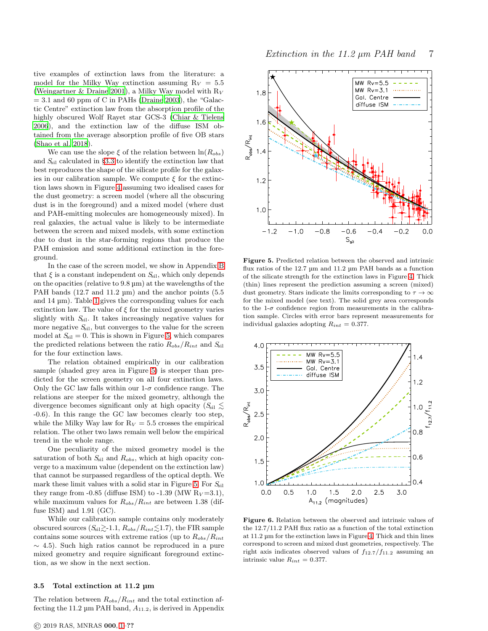tive examples of extinction laws from the literature: a model for the Milky Way extinction assuming  $R_V = 5.5$ [\(Weingartner & Draine 2001\)](#page-10-58), a Milky Way model with  $R_V$  $= 3.1$  and 60 ppm of C in PAHs [\(Draine 2003](#page-10-59)), the "Galactic Centre" extinction law from the absorption profile of the highly obscured Wolf Rayet star GCS-3 [\(Chiar & Tielens](#page-10-60) [2006](#page-10-60)), and the extinction law of the diffuse ISM obtained from the average absorption profile of five OB stars [\(Shao et al. 2018](#page-10-61)).

We can use the slope  $\xi$  of the relation between  $\ln(R_{obs})$ and  $S<sub>sil</sub>$  calculated in §[3.3](#page-5-3) to identify the extinction law that best reproduces the shape of the silicate profile for the galaxies in our calibration sample. We compute  $\xi$  for the extinction laws shown in Figure [4](#page-5-2) assuming two idealised cases for the dust geometry: a screen model (where all the obscuring dust is in the foreground) and a mixed model (where dust and PAH-emitting molecules are homogeneously mixed). In real galaxies, the actual value is likely to be intermediate between the screen and mixed models, with some extinction due to dust in the star-forming regions that produce the PAH emission and some additional extinction in the foreground.

In the case of the screen model, we show in Appendix [B](#page-12-0) that  $\xi$  is a constant independent on  $S_{\text{sil}}$ , which only depends on the opacities (relative to 9.8 µm) at the wavelengths of the PAH bands (12.7 and 11.2 µm) and the anchor points (5.5 and 14 µm). Table [1](#page-11-0) gives the corresponding values for each extinction law. The value of  $\xi$  for the mixed geometry varies slightly with  $S_{\text{sil}}$ . It takes increasingly negative values for more negative  $S_{\text{sil}}$ , but converges to the value for the screen model at  $S_{\text{sil}} = 0$ . This is shown in Figure [5,](#page-6-0) which compares the predicted relations between the ratio  $R_{obs}/R_{int}$  and  $S_{\text{sil}}$ for the four extinction laws.

The relation obtained empirically in our calibration sample (shaded grey area in Figure [5\)](#page-6-0) is steeper than predicted for the screen geometry on all four extinction laws. Only the GC law falls within our  $1-\sigma$  confidence range. The relations are steeper for the mixed geometry, although the divergence becomes significant only at high opacity  $(S_{\rm sil} \leq$ -0.6). In this range the GC law becomes clearly too step, while the Milky Way law for  $R_V = 5.5$  crosses the empirical relation. The other two laws remain well below the empirical trend in the whole range.

One peculiarity of the mixed geometry model is the saturation of both  $S_{\text{sil}}$  and  $R_{obs}$ , which at high opacity converge to a maximum value (dependent on the extinction law) that cannot be surpassed regardless of the optical depth. We mark these limit values with a solid star in Figure [5.](#page-6-0) For  $S_{\text{sil}}$ they range from  $-0.85$  (diffuse ISM) to  $-1.39$  (MW  $R_V = 3.1$ ), while maximum values for  $R_{obs}/R_{int}$  are between 1.38 (diffuse ISM) and 1.91 (GC).

While our calibration sample contains only moderately obscured sources  $(S_{\rm sil} \gtrsim 1.1, R_{obs}/R_{int} \lesssim 1.7)$ , the FIR sample contains some sources with extreme ratios (up to  $R_{obs}/R_{int}$ )  $\sim$  4.5). Such high ratios cannot be reproduced in a pure mixed geometry and require significant foreground extinction, as we show in the next section.

#### 3.5 Total extinction at 11.2 µm

The relation between  $R_{obs}/R_{int}$  and the total extinction affecting the 11.2  $\mu$ m PAH band,  $A_{11.2}$ , is derived in Appendix



<span id="page-6-0"></span>Figure 5. Predicted relation between the observed and intrinsic flux ratios of the 12.7 µm and 11.2 µm PAH bands as a function of the silicate strength for the extinction laws in Figure [4.](#page-5-2) Thick (thin) lines represent the prediction assuming a screen (mixed) dust geometry. Stars indicate the limits corresponding to  $\tau \to \infty$ for the mixed model (see text). The solid grey area corresponds to the  $1-\sigma$  confidence region from measurements in the calibration sample. Circles with error bars represent measurements for individual galaxies adopting  $R_{int} = 0.377$ .



<span id="page-6-1"></span>Figure 6. Relation between the observed and intrinsic values of the 12.7/11.2 PAH flux ratio as a function of the total extinction at 11.2 µm for the extinction laws in Figure [4.](#page-5-2) Thick and thin lines correspond to screen and mixed dust geometries, respectively. The right axis indicates observed values of  $f_{12.7}/f_{11.2}$  assuming an intrinsic value  $R_{int} = 0.377$ .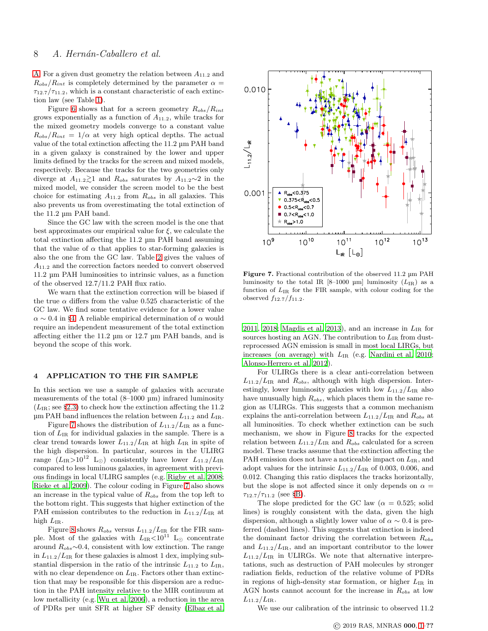[A.](#page-11-1) For a given dust geometry the relation between  $A_{11,2}$  and  $R_{obs}/R_{int}$  is completely determined by the parameter  $\alpha =$  $\tau_{12.7}/\tau_{11.2}$ , which is a constant characteristic of each extinction law (see Table [1\)](#page-11-0).

Figure [6](#page-6-1) shows that for a screen geometry  $R_{obs}/R_{int}$ grows exponentially as a function of  $A_{11,2}$ , while tracks for the mixed geometry models converge to a constant value  $R_{obs}/R_{int} = 1/\alpha$  at very high optical depths. The actual value of the total extinction affecting the 11.2 µm PAH band in a given galaxy is constrained by the lower and upper limits defined by the tracks for the screen and mixed models, respectively. Because the tracks for the two geometries only diverge at  $A_{11.2} \gtrsim 1$  and  $R_{obs}$  saturates by  $A_{11.2} \sim 2$  in the mixed model, we consider the screen model to be the best choice for estimating  $A_{11.2}$  from  $R_{obs}$  in all galaxies. This also prevents us from overestimating the total extinction of the 11.2 µm PAH band.

Since the GC law with the screen model is the one that best approximates our empirical value for  $\xi$ , we calculate the total extinction affecting the 11.2 µm PAH band assuming that the value of  $\alpha$  that applies to star-forming galaxies is also the one from the GC law. Table [2](#page-11-2) gives the values of  $A_{11.2}$  and the correction factors needed to convert observed 11.2 µm PAH luminosities to intrinsic values, as a function of the observed 12.7/11.2 PAH flux ratio.

We warn that the extinction correction will be biased if the true  $\alpha$  differs from the value 0.525 characteristic of the GC law. We find some tentative evidence for a lower value  $\alpha \sim 0.4$  in §[4.](#page-7-0) A reliable empirical determination of  $\alpha$  would require an independent measurement of the total extinction affecting either the 11.2 µm or 12.7 µm PAH bands, and is beyond the scope of this work.

# <span id="page-7-0"></span>4 APPLICATION TO THE FIR SAMPLE

In this section we use a sample of galaxies with accurate measurements of the total (8–1000 µm) infrared luminosity  $(L_{IR};$  see §[2.3\)](#page-3-1) to check how the extinction affecting the 11.2  $\mu$ m PAH band influences the relation between  $L_{11.2}$  and  $L_{IR}$ .

Figure [7](#page-7-1) shows the distribution of  $L_{11.2}/L_{IR}$  as a function of  $L_{IR}$  for individual galaxies in the sample. There is a clear trend towards lower  $L_{11.2}/L_{IR}$  at high  $L_{IR}$  in spite of the high dispersion. In particular, sources in the ULIRG range  $(L_{IR}>10^{12} \text{ L}_{\odot})$  consistently have lower  $L_{11.2}/L_{IR}$ compared to less luminous galaxies, in agreement with previous findings in local ULIRG samples (e.g. [Rigby et al. 2008;](#page-10-24) [Rieke et al. 2009\)](#page-10-4). The colour coding in Figure [7](#page-7-1) also shows an increase in the typical value of  $R_{obs}$  from the top left to the bottom right. This suggests that higher extinction of the PAH emission contributes to the reduction in  $L_{11.2}/L_{IR}$  at high  $L_{IR}$ .

Figure [8](#page-8-0) shows  $R_{obs}$  versus  $L_{11.2}/L_{IR}$  for the FIR sample. Most of the galaxies with  $L_{IR} < 10^{11}$  L<sub>☉</sub> concentrate around  $R_{obs}$ ~0.4, consistent with low extinction. The range in  $L_{11.2}/L_{IR}$  for these galaxies is almost 1 dex, implying substantial dispersion in the ratio of the intrinsic  $L_{11.2}$  to  $L_{IR}$ , with no clear dependence on  $L_{IR}$ . Factors other than extinction that may be responsible for this dispersion are a reduction in the PAH intensity relative to the MIR continuum at low metallicity (e.g. [Wu et al. 2006\)](#page-10-62), a reduction in the area of PDRs per unit SFR at higher SF density [\(Elbaz et al.](#page-10-27)



<span id="page-7-1"></span>Figure 7. Fractional contribution of the observed 11.2 µm PAH luminosity to the total IR [8–1000 µm] luminosity  $(L_{IR})$  as a function of  $L_{IR}$  for the FIR sample, with colour coding for the observed  $f_{12.7}/f_{11.2}$ .

[2011](#page-10-27), [2018;](#page-10-30) [Magdis et al. 2013](#page-10-31)), and an increase in  $L_{IR}$  for sources hosting an AGN. The contribution to  $L_{IR}$  from dustreprocessed AGN emission is small in most local LIRGs, but increases (on average) with  $L_{IR}$  (e.g. [Nardini et al. 2010](#page-10-63); [Alonso-Herrero et al. 2012](#page-10-64)).

For ULIRGs there is a clear anti-correlation between  $L_{11.2}/L_{IR}$  and  $R_{obs}$ , although with high dispersion. Interestingly, lower luminosity galaxies with low  $L_{11.2}/L_{IR}$  also have unusually high  $R_{obs}$ , which places them in the same region as ULIRGs. This suggests that a common mechanism explains the anti-correlation between  $L_{11.2}/L_{IR}$  and  $R_{obs}$  at all luminosities. To check whether extinction can be such mechanism, we show in Figure [8](#page-8-0) tracks for the expected relation between  $L_{11.2}/L_{IR}$  and  $R_{obs}$  calculated for a screen model. These tracks assume that the extinction affecting the PAH emission does not have a noticeable impact on  $L_{IR}$ , and adopt values for the intrinsic  $L_{11.2}/L_{IR}$  of 0.003, 0.006, and 0.012. Changing this ratio displaces the tracks horizontally, but the slope is not affected since it only depends on  $\alpha =$  $\tau_{12.7}/\tau_{11.2}$  (see §[B\)](#page-12-0).

The slope predicted for the GC law ( $\alpha = 0.525$ ; solid lines) is roughly consistent with the data, given the high dispersion, although a slightly lower value of  $\alpha \sim 0.4$  is preferred (dashed lines). This suggests that extinction is indeed the dominant factor driving the correlation between  $R_{obs}$ and  $L_{11.2}/L_{IR}$ , and an important contributor to the lower  $L_{11.2}/L_{IR}$  in ULIRGs. We note that alternative interpretations, such as destruction of PAH molecules by stronger radiation fields, reduction of the relative volume of PDRs in regions of high-density star formation, or higher  $L_{IR}$  in AGN hosts cannot account for the increase in  $R_{obs}$  at low  $L_{11.2}/L_{IR}$ .

We use our calibration of the intrinsic to observed 11.2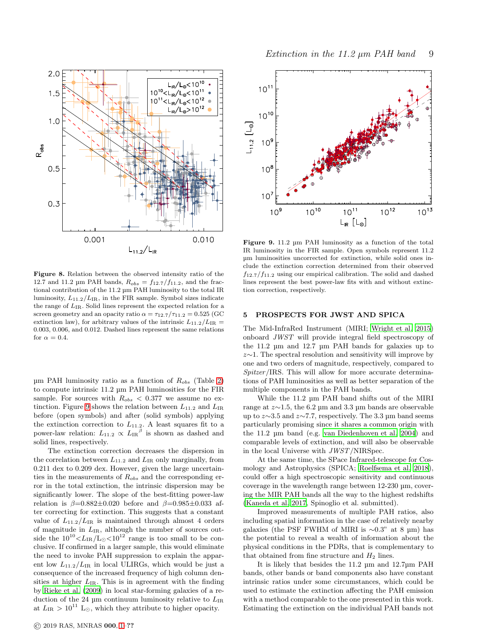

<span id="page-8-0"></span>Figure 8. Relation between the observed intensity ratio of the 12.7 and 11.2 µm PAH bands,  $R_{obs} = f_{12.7}/f_{11.2}$ , and the fractional contribution of the 11.2 µm PAH luminosity to the total IR luminosity,  $L_{11.2}/L_{IR}$ , in the FIR sample. Symbol sizes indicate the range of  $L_{\rm IR}.$  Solid lines represent the expected relation for a screen geometry and an opacity ratio  $\alpha = \tau_{12.7}/\tau_{11.2} = 0.525$  (GC extinction law), for arbitrary values of the intrinsic  $L_{11.2}/L_{IR}$  = 0.003, 0.006, and 0.012. Dashed lines represent the same relations for  $\alpha = 0.4$ .

 $\mu$ m PAH luminosity ratio as a function of  $R_{obs}$  (Table [2\)](#page-11-2) to compute intrinsic 11.2 µm PAH luminosities for the FIR sample. For sources with  $R_{obs} < 0.377$  we assume no ex-tinction. Figure [9](#page-8-1) shows the relation between  $L_{11.2}$  and  $L_{IR}$ before (open symbols) and after (solid symbols) applying the extinction correction to  $L_{11.2}$ . A least squares fit to a power-law relation:  $L_{11.2} \propto L_{IR}^{\beta}$  is shown as dashed and solid lines, respectively.

The extinction correction decreases the dispersion in the correlation between  $L_{11.2}$  and  $L_{IR}$  only marginally, from 0.211 dex to 0.209 dex. However, given the large uncertainties in the measurements of  $R_{obs}$  and the corresponding error in the total extinction, the intrinsic dispersion may be significantly lower. The slope of the best-fitting power-law relation is  $\beta=0.882\pm0.020$  before and  $\beta=0.985\pm0.033$  after correcting for extinction. This suggests that a constant value of  $L_{11.2}/L_{IR}$  is maintained through almost 4 orders of magnitude in  $L_{IR}$ , although the number of sources outside the  $10^{10} < L_{IR}/L_{\odot} < 10^{12}$  range is too small to be conclusive. If confirmed in a larger sample, this would eliminate the need to invoke PAH suppression to explain the apparent low  $L_{11.2}/L_{IR}$  in local ULIRGs, which would be just a consequence of the increased frequency of high column densities at higher  $L_{IR}$ . This is in agreement with the finding by [Rieke et al. \(2009\)](#page-10-4) in local star-forming galaxies of a reduction of the 24  $\mu$ m continuum luminosity relative to  $L_{\rm IR}$ at  $L_{IR} > 10^{11}$  L<sub>☉</sub>, which they attribute to higher opacity.



<span id="page-8-1"></span>Figure 9. 11.2 µm PAH luminosity as a function of the total IR luminosity in the FIR sample. Open symbols represent 11.2 µm luminosities uncorrected for extinction, while solid ones include the extinction correction determined from their observed  $f_{12.7}/f_{11.2}$  using our empirical calibration. The solid and dashed lines represent the best power-law fits with and without extinction correction, respectively.

# 5 PROSPECTS FOR JWST AND SPICA

The Mid-InfraRed Instrument (MIRI; [Wright et al. 2015](#page-10-65)) onboard JWST will provide integral field spectroscopy of the 11.2 µm and 12.7 µm PAH bands for galaxies up to z∼1. The spectral resolution and sensitivity will improve by one and two orders of magnitude, respectively, compared to Spitzer/IRS. This will allow for more accurate determinations of PAH luminosities as well as better separation of the multiple components in the PAH bands.

While the 11.2 µm PAH band shifts out of the MIRI range at z∼1.5, the 6.2 µm and 3.3 µm bands are observable up to z∼3.5 and z∼7.7, respectively. The 3.3 µm band seems particularly promising since it shares a common origin with the 11.2 µm band (e.g. [van Diedenhoven et al. 2004](#page-10-66)) and comparable levels of extinction, and will also be observable in the local Universe with JWST/NIRSpec.

At the same time, the SPace Infrared-telescope for Cosmology and Astrophysics (SPICA; [Roelfsema et al. 2018](#page-10-67)), could offer a high spectroscopic sensitivity and continuous coverage in the wavelength range between 12-230 µm, covering the MIR PAH bands all the way to the highest redshifts [\(Kaneda et al. 2017](#page-10-68), Spinoglio et al. submitted).

Improved measurements of multiple PAH ratios, also including spatial information in the case of relatively nearby galaxies (the PSF FWHM of MIRI is  $\sim 0.3$ " at 8 µm) has the potential to reveal a wealth of information about the physical conditions in the PDRs, that is complementary to that obtained from fine structure and  $H_2$  lines.

It is likely that besides the 11.2 µm and 12.7µm PAH bands, other bands or band components also have constant intrinsic ratios under some circumstances, which could be used to estimate the extinction affecting the PAH emission with a method comparable to the one presented in this work. Estimating the extinction on the individual PAH bands not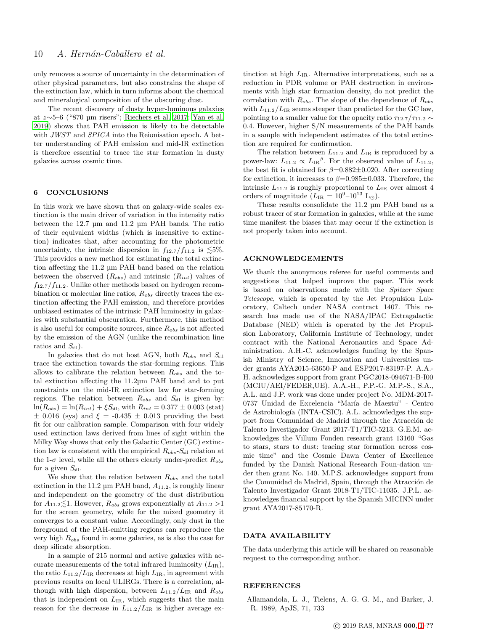only removes a source of uncertainty in the determination of other physical parameters, but also constrains the shape of the extinction law, which in turn informs about the chemical and mineralogical composition of the obscuring dust.

The recent discovery of dusty hyper-luminous galaxies at z∼5–6 ("870 µm risers"; [Riechers et al. 2017;](#page-10-69) [Yan et al.](#page-10-70) [2019](#page-10-70)) shows that PAH emission is likely to be detectable with JWST and SPICA into the Reionisation epoch. A better understanding of PAH emission and mid-IR extinction is therefore essential to trace the star formation in dusty galaxies across cosmic time.

## 6 CONCLUSIONS

In this work we have shown that on galaxy-wide scales extinction is the main driver of variation in the intensity ratio between the 12.7 µm and 11.2 µm PAH bands. The ratio of their equivalent widths (which is insensitive to extinction) indicates that, after accounting for the photometric uncertainty, the intrinsic dispersion in  $f_{12.7}/f_{11.2}$  is  $\lesssim 5\%$ . This provides a new method for estimating the total extinction affecting the 11.2 µm PAH band based on the relation between the observed  $(R_{obs})$  and intrinsic  $(R_{int})$  values of  $f_{12.7}/f_{11.2}$ . Unlike other methods based on hydrogen recombination or molecular line ratios,  $R_{obs}$  directly traces the extinction affecting the PAH emission, and therefore provides unbiased estimates of the intrinsic PAH luminosity in galaxies with substantial obscuration. Furthermore, this method is also useful for composite sources, since  $R_{obs}$  is not affected by the emission of the AGN (unlike the recombination line ratios and  $S_{\rm{sil}}$ ).

In galaxies that do not host AGN, both  $R_{obs}$  and  $S_{sil}$ trace the extinction towards the star-forming regions. This allows to calibrate the relation between  $R_{obs}$  and the total extinction affecting the 11.2µm PAH band and to put constraints on the mid-IR extinction law for star-forming regions. The relation between  $R_{obs}$  and  $S_{sil}$  is given by:  $ln(R_{obs}) = ln(R_{int}) + \xi S_{sil}$ , with  $R_{int} = 0.377 \pm 0.003$  (stat)  $\pm$  0.016 (sys) and  $\xi$  = -0.435  $\pm$  0.013 providing the best fit for our calibration sample. Comparison with four widely used extinction laws derived from lines of sight within the Milky Way shows that only the Galactic Center (GC) extinction law is consistent with the empirical  $R_{obs}$ - $S_{sil}$  relation at the 1- $\sigma$  level, while all the others clearly under-predict  $R_{obs}$ for a given  $S_{\text{sil}}$ .

We show that the relation between  $R_{obs}$  and the total extinction in the 11.2  $\mu$ m PAH band,  $A_{11.2}$ , is roughly linear and independent on the geometry of the dust distribution for  $A_{11.2} \leq 1$ . However,  $R_{obs}$  grows exponentially at  $A_{11.2} > 1$ for the screen geometry, while for the mixed geometry it converges to a constant value. Accordingly, only dust in the foreground of the PAH-emitting regions can reproduce the very high  $R_{obs}$  found in some galaxies, as is also the case for deep silicate absorption.

In a sample of 215 normal and active galaxies with accurate measurements of the total infrared luminosity  $(L_{IR})$ , the ratio  $L_{11.2}/L_{IR}$  decreases at high  $L_{IR}$ , in agreement with previous results on local ULIRGs. There is a correlation, although with high dispersion, between  $L_{11.2}/L_{IR}$  and  $R_{obs}$ that is independent on  $L_{IR}$ , which suggests that the main reason for the decrease in  $L_{11.2}/L_{IR}$  is higher average extinction at high  $L_{IR}$ . Alternative interpretations, such as a reduction in PDR volume or PAH destruction in environments with high star formation density, do not predict the correlation with  $R_{obs}$ . The slope of the dependence of  $R_{obs}$ with  $L_{11.2}/L_{IR}$  seems steeper than predicted for the GC law, pointing to a smaller value for the opacity ratio  $\tau_{12.7}/\tau_{11.2} \sim$ 0.4. However, higher S/N measurements of the PAH bands in a sample with independent estimates of the total extinction are required for confirmation.

The relation between  $L_{11,2}$  and  $L_{IR}$  is reproduced by a power-law:  $L_{11.2} \propto L_{IR}{}^{\beta}$ . For the observed value of  $L_{11.2}$ , the best fit is obtained for  $\beta = 0.882 \pm 0.020$ . After correcting for extinction, it increases to  $\beta = 0.985 \pm 0.033$ . Therefore, the intrinsic  $L_{11.2}$  is roughly proportional to  $L_{IR}$  over almost 4 orders of magnitude  $(L_{IR} = 10^{9} - 10^{13} \text{ L}_{\odot}).$ 

These results consolidate the 11.2 µm PAH band as a robust tracer of star formation in galaxies, while at the same time manifest the biases that may occur if the extinction is not properly taken into account.

#### ACKNOWLEDGEMENTS

We thank the anonymous referee for useful comments and suggestions that helped improve the paper. This work is based on observations made with the Spitzer Space Telescope, which is operated by the Jet Propulsion Laboratory, Caltech under NASA contract 1407. This research has made use of the NASA/IPAC Extragalactic Database (NED) which is operated by the Jet Propulsion Laboratory, California Institute of Technology, under contract with the National Aeronautics and Space Administration. A.H.-C. acknowledges funding by the Spanish Ministry of Science, Innovation and Universities under grants AYA2015-63650-P and ESP2017-83197-P. A.A.- H. acknowledges support from grant PGC2018-094671-B-I00 (MCIU/AEI/FEDER,UE). A.A.-H., P.P.-G. M.P.-S., S.A., A.L. and J.P. work was done under project No. MDM-2017- 0737 Unidad de Excelencia "María de Maeztu" - Centro de Astrobiología (INTA-CSIC). A.L. acknowledges the support from Comunidad de Madrid through the Atracción de Talento Investigador Grant 2017-T1/TIC-5213. G.E.M. acknowledges the Villum Fonden research grant 13160 "Gas to stars, stars to dust: tracing star formation across cosmic time" and the Cosmic Dawn Center of Excellence funded by the Danish National Research Foun-dation under then grant No. 140. M.P.S. acknowledges support from the Comunidad de Madrid, Spain, through the Atracción de Talento Investigador Grant 2018-T1/TIC-11035. J.P.L. acknowledges financial support by the Spanish MICINN under grant AYA2017-85170-R.

# DATA AVAILABILITY

The data underlying this article will be shared on reasonable request to the corresponding author.

# **REFERENCES**

<span id="page-9-0"></span>Allamandola, L. J., Tielens, A. G. G. M., and Barker, J. R. 1989, ApJS, 71, 733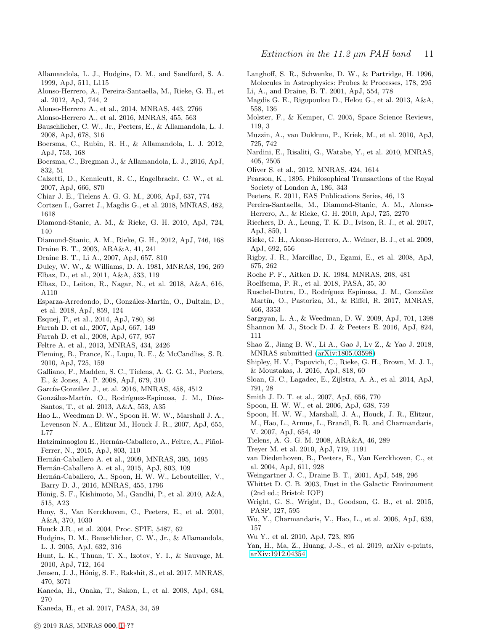- <span id="page-10-52"></span>Allamandola, L. J., Hudgins, D. M., and Sandford, S. A. 1999, ApJ, 511, L115
- <span id="page-10-64"></span>Alonso-Herrero, A., Pereira-Santaella, M., Rieke, G. H., et al. 2012, ApJ, 744, 2
- <span id="page-10-19"></span>Alonso-Herrero A., et al., 2014, MNRAS, 443, 2766
- <span id="page-10-20"></span>Alonso-Herrero A., et al. 2016, MNRAS, 455, 563
- <span id="page-10-48"></span>Bauschlicher, C. W., Jr., Peeters, E., & Allamandola, L. J. 2008, ApJ, 678, 316
- <span id="page-10-51"></span>Boersma, C., Rubin, R. H., & Allamandola, L. J. 2012, ApJ, 753, 168
- <span id="page-10-29"></span>Boersma, C., Bregman J., & Allamandola, L. J., 2016, ApJ, 832, 51
- <span id="page-10-10"></span>Calzetti, D., Kennicutt, R. C., Engelbracht, C. W., et al. 2007, ApJ, 666, 870
- <span id="page-10-60"></span>Chiar J. E., Tielens A. G. G. M., 2006, ApJ, 637, 774
- <span id="page-10-32"></span>Cortzen I., Garret J., Magdis G., et al. 2018, MNRAS, 482, 1618
- <span id="page-10-14"></span>Diamond-Stanic, A. M., & Rieke, G. H. 2010, ApJ, 724, 140
- <span id="page-10-8"></span>Diamond-Stanic, A. M., Rieke, G. H., 2012, ApJ, 746, 168
- <span id="page-10-59"></span>Draine B. T., 2003, ARA&A, 41, 241
- <span id="page-10-46"></span>Draine B. T., Li A., 2007, ApJ, 657, 810
- <span id="page-10-49"></span>Duley, W. W., & Williams, D. A. 1981, MNRAS, 196, 269
- <span id="page-10-27"></span>Elbaz, D., et al., 2011, A&A, 533, 119
- <span id="page-10-30"></span>Elbaz, D., Leiton, R., Nagar, N., et al. 2018, A&A, 616, A110
- <span id="page-10-22"></span>Esparza-Arredondo, D., Gonz´alez-Mart´ın, O., Dultzin, D., et al. 2018, ApJ, 859, 124
- <span id="page-10-15"></span>Esquej, P., et al., 2014, ApJ, 780, 86
- <span id="page-10-5"></span>Farrah D. et al., 2007, ApJ, 667, 149
- <span id="page-10-25"></span>Farrah D. et al., 2008, ApJ, 677, 957
- <span id="page-10-44"></span>Feltre A. et al., 2013, MNRAS, 434, 2426
- <span id="page-10-50"></span>Fleming, B., France, K., Lupu, R. E., & McCandliss, S. R. 2010, ApJ, 725, 159
- <span id="page-10-53"></span>Galliano, F., Madden, S. C., Tielens, A. G. G. M., Peeters, E., & Jones, A. P. 2008, ApJ, 679, 310
- <span id="page-10-16"></span>García-González J., et al. 2016, MNRAS, 458, 4512
- <span id="page-10-18"></span>González-Martín, O., Rodríguez-Espinosa, J. M., Díaz-Santos, T., et al. 2013, A&A, 553, A35
- <span id="page-10-35"></span>Hao L., Weedman D. W., Spoon H. W. W., Marshall J. A., Levenson N. A., Elitzur M., Houck J. R., 2007, ApJ, 655, L77
- <span id="page-10-36"></span>Hatziminaoglou E., Hernán-Caballero, A., Feltre, A., Piñol-Ferrer, N., 2015, ApJ, 803, 110
- <span id="page-10-28"></span>Hernán-Caballero A. et al., 2009, MNRAS, 395, 1695
- <span id="page-10-37"></span>Hern´an-Caballero A. et al., 2015, ApJ, 803, 109
- <span id="page-10-45"></span>Hernán-Caballero, A., Spoon, H. W. W., Lebouteiller, V., Barry D. J., 2016, MNRAS, 455, 1796
- <span id="page-10-17"></span>Hönig, S. F., Kishimoto, M., Gandhi, P., et al. 2010, A&A, 515, A23
- <span id="page-10-47"></span>Hony, S., Van Kerckhoven, C., Peeters, E., et al. 2001, A&A, 370, 1030
- <span id="page-10-38"></span>Houck J.R., et al. 2004, Proc. SPIE, 5487, 62
- <span id="page-10-1"></span>Hudgins, D. M., Bauschlicher, C. W., Jr., & Allamandola, L. J. 2005, ApJ, 632, 316
- <span id="page-10-42"></span>Hunt, L. K., Thuan, T. X., Izotov, Y. I., & Sauvage, M. 2010, ApJ, 712, 164
- <span id="page-10-23"></span>Jensen, J. J., Hönig, S. F., Rakshit, S., et al. 2017, MNRAS, 470, 3071
- <span id="page-10-41"></span>Kaneda, H., Onaka, T., Sakon, I., et al. 2008, ApJ, 684, 270
- <span id="page-10-68"></span>Kaneda, H., et al. 2017, PASA, 34, 59
- <span id="page-10-54"></span>Langhoff, S. R., Schwenke, D. W., & Partridge, H. 1996, Molecules in Astrophysics: Probes & Processes, 178, 295 Li, A., and Draine, B. T. 2001, ApJ, 554, 778
- <span id="page-10-55"></span><span id="page-10-31"></span>Magdis G. E., Rigopoulou D., Helou G., et al. 2013, A&A, 558, 136
- Molster, F., & Kemper, C. 2005, Space Science Reviews, 119, 3
- <span id="page-10-26"></span>Muzzin, A., van Dokkum, P., Kriek, M., et al. 2010, ApJ, 725, 742
- <span id="page-10-63"></span>Nardini, E., Risaliti, G., Watabe, Y., et al. 2010, MNRAS, 405, 2505
- <span id="page-10-43"></span>Oliver S. et al., 2012, MNRAS, 424, 1614
- <span id="page-10-39"></span>Pearson, K., 1895, Philosophical Transactions of the Royal Society of London A, 186, 343
- <span id="page-10-2"></span>Peeters, E. 2011, EAS Publications Series, 46, 13
- <span id="page-10-57"></span>Pereira-Santaella, M., Diamond-Stanic, A. M., Alonso-Herrero, A., & Rieke, G. H. 2010, ApJ, 725, 2270
- <span id="page-10-69"></span>Riechers, D. A., Leung, T. K. D., Ivison, R. J., et al. 2017, ApJ, 850, 1
- <span id="page-10-4"></span>Rieke, G. H., Alonso-Herrero, A., Weiner, B. J., et al. 2009, ApJ, 692, 556
- <span id="page-10-24"></span>Rigby, J. R., Marcillac, D., Egami, E., et al. 2008, ApJ, 675, 262
- <span id="page-10-33"></span>Roche P. F., Aitken D. K. 1984, MNRAS, 208, 481
- <span id="page-10-67"></span>Roelfsema, P. R., et al. 2018, PASA, 35, 30
- <span id="page-10-21"></span>Ruschel-Dutra, D., Rodríguez Espinosa, J. M., González Martín, O., Pastoriza, M., & Riffel, R. 2017, MNRAS, 466, 3353
- <span id="page-10-6"></span>Sargsyan, L. A., & Weedman, D. W. 2009, ApJ, 701, 1398
- <span id="page-10-56"></span>Shannon M. J., Stock D. J. & Peeters E. 2016, ApJ, 824, 111
- <span id="page-10-61"></span>Shao Z., Jiang B. W., Li A., Gao J, Lv Z., & Yao J. 2018, MNRAS submitted [\(arXiv:1805.03598\)](http://arxiv.org/abs/1805.03598)
- <span id="page-10-9"></span>Shipley, H. V., Papovich, C., Rieke, G. H., Brown, M. J. I., & Moustakas, J. 2016, ApJ, 818, 60
- <span id="page-10-3"></span>Sloan, G. C., Lagadec, E., Zijlstra, A. A., et al. 2014, ApJ, 791, 28
- <span id="page-10-12"></span>Smith J. D. T. et al., 2007, ApJ, 656, 770
- <span id="page-10-11"></span>Spoon, H. W. W., et al. 2006, ApJ, 638, 759
- <span id="page-10-40"></span>Spoon, H. W. W., Marshall, J. A., Houck, J. R., Elitzur,
- M., Hao, L., Armus, L., Brandl, B. R. and Charmandaris, V. 2007, ApJ, 654, 49
- <span id="page-10-0"></span>Tielens, A. G. G. M. 2008, ARA&A, 46, 289
- <span id="page-10-7"></span>Treyer M. et al. 2010, ApJ, 719, 1191
- <span id="page-10-66"></span>van Diedenhoven, B., Peeters, E., Van Kerckhoven, C., et al. 2004, ApJ, 611, 928
- <span id="page-10-58"></span>Weingartner J. C., Draine B. T., 2001, ApJ, 548, 296
- <span id="page-10-34"></span>Whittet D. C. B. 2003, Dust in the Galactic Environment (2nd ed.; Bristol: IOP)
- <span id="page-10-65"></span>Wright, G. S., Wright, D., Goodson, G. B., et al. 2015, PASP, 127, 595
- <span id="page-10-62"></span>Wu, Y., Charmandaris, V., Hao, L., et al. 2006, ApJ, 639, 157
- <span id="page-10-13"></span>Wu Y., et al. 2010, ApJ, 723, 895
- <span id="page-10-70"></span>Yan, H., Ma, Z., Huang, J.-S., et al. 2019, arXiv e-prints, [arXiv:1912.04354](http://arxiv.org/abs/1912.04354)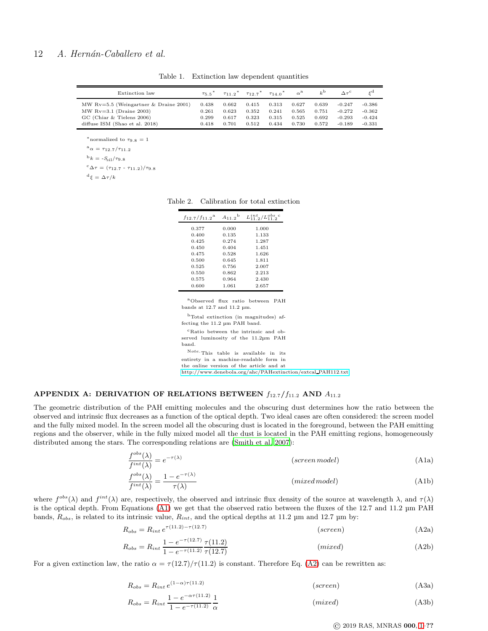| Extinction law                          | T5.5  | $\tau_{11}$ $2^{\degree}$ | $\tau_{12}$ $\tau^*$ | $714.0^*$ | $\alpha^{\rm a}$ | $k^{\rm b}$ |          |          |
|-----------------------------------------|-------|---------------------------|----------------------|-----------|------------------|-------------|----------|----------|
| MW $Rv=5.5$ (Weingartner & Draine 2001) | 0.438 | 0.662                     | 0.415                | 0.313     | 0.627            | 0.639       | $-0.247$ | $-0.386$ |
| MW $Rv=3.1$ (Draine 2003)               | 0.261 | 0.623                     | 0.352                | 0.241     | 0.565            | 0.751       | $-0.272$ | $-0.362$ |
| GC (Chiar & Tielens 2006)               | 0.299 | 0.617                     | 0.323                | 0.315     | 0.525            | 0.692       | $-0.293$ | $-0.424$ |
| diffuse ISM (Shao et al. 2018)          | 0.418 | 0.701                     | 0.512                | 0.434     | 0.730            | 0.572       | $-0.189$ | $-0.331$ |

<span id="page-11-0"></span>Table 1. Extinction law dependent quantities

 $*$ normalized to  $\tau_{9.8} = 1$  $a_{\alpha} = \tau_{12.7}/\tau_{11.2}$ 

 $b_k = -S_{\rm{sil}}/\tau_{9.8}$ 

 $c_{\Delta\tau} = (\tau_{12.7} - \tau_{11.2})/\tau_{9.8}$ 

 $d\xi = \Delta \tau / k$ 

Table 2. Calibration for total extinction

<span id="page-11-2"></span>

| $f_{12.7}/f_{11.2}$ <sup>a</sup> | $A_{11.2}$ <sup>b</sup> | $L_{11}^{int}/L_{11}^{obs}$ |
|----------------------------------|-------------------------|-----------------------------|
| 0.377                            | 0.000                   | 1.000                       |
| 0.400                            | 0.135                   | 1.133                       |
| 0.425                            | 0.274                   | 1.287                       |
| 0.450                            | 0.404                   | 1.451                       |
| 0.475                            | 0.528                   | 1.626                       |
| 0.500                            | 0.645                   | 1.811                       |
| 0.525                            | 0.756                   | 2.007                       |
| 0.550                            | 0.862                   | 2.213                       |
| 0.575                            | 0.964                   | 2.430                       |
| 0.600                            | 1.061                   | 2.657                       |
|                                  |                         |                             |

<sup>a</sup>Observed flux ratio between PAH bands at 12.7 and 11.2 µm.

<sup>b</sup>Total extinction (in magnitudes) affecting the 11.2 µm PAH band.

<sup>c</sup>Ratio between the intrinsic and observed luminosity of the 11.2µm PAH band.

 $\mathbf {Note} \cdot \mathbf {This}$  table is available in its entirety in a machine-readable form in the online version of the article and at

<span id="page-11-4"></span><span id="page-11-3"></span>[http://www.denebola.org/ahc/PAHextinction/extcal](http://www.denebola.org/ahc/PAHextinction/extcal_PAH112.txt) PAH112.txt

c

# <span id="page-11-1"></span>APPENDIX A: DERIVATION OF RELATIONS BETWEEN  $f_{12.7}/f_{11.2}$  AND  $A_{11.2}$

The geometric distribution of the PAH emitting molecules and the obscuring dust determines how the ratio between the observed and intrinsic flux decreases as a function of the optical depth. Two ideal cases are often considered: the screen model and the fully mixed model. In the screen model all the obscuring dust is located in the foreground, between the PAH emitting regions and the observer, while in the fully mixed model all the dust is located in the PAH emitting regions, homogeneously distributed among the stars. The corresponding relations are [\(Smith et al. 2007](#page-10-12)):

$$
\frac{f^{obs}(\lambda)}{f^{int}(\lambda)} = e^{-\tau(\lambda)}
$$
 (screen model) (A1a)

$$
\frac{f^{obs}(\lambda)}{f^{int}(\lambda)} = \frac{1 - e^{-\tau(\lambda)}}{\tau(\lambda)}
$$
 (mixed model) (Alb)

where  $f^{obs}(\lambda)$  and  $f^{int}(\lambda)$  are, respectively, the observed and intrinsic flux density of the source at wavelength  $\lambda$ , and  $\tau(\lambda)$ is the optical depth. From Equations [\(A1\)](#page-11-3) we get that the observed ratio between the fluxes of the 12.7 and 11.2 µm PAH bands,  $R_{obs}$ , is related to its intrinsic value,  $R_{int}$ , and the optical depths at 11.2 µm and 12.7 µm by:

$$
R_{obs} = R_{int} e^{\tau(11.2) - \tau(12.7)}
$$
 (screen) (A2a)

$$
R_{obs} = R_{int} \frac{1 - e^{-\tau(12.7)}}{1 - e^{-\tau(11.2)}} \frac{\tau(11.2)}{\tau(12.7)}
$$
 (mixed) (A2b)

<span id="page-11-5"></span>For a given extinction law, the ratio  $\alpha = \frac{\tau(12.7)}{\tau(11.2)}$  is constant. Therefore Eq. [\(A2\)](#page-11-4) can be rewritten as:

$$
R_{obs} = R_{int} e^{(1-\alpha)\tau(11.2)}
$$
 (screen) (A3a)

$$
R_{obs} = R_{int} \frac{1 - e^{-\alpha \tau (11.2)}}{1 - e^{-\tau (11.2)}} \frac{1}{\alpha}
$$
 (*mixed*) (A3b)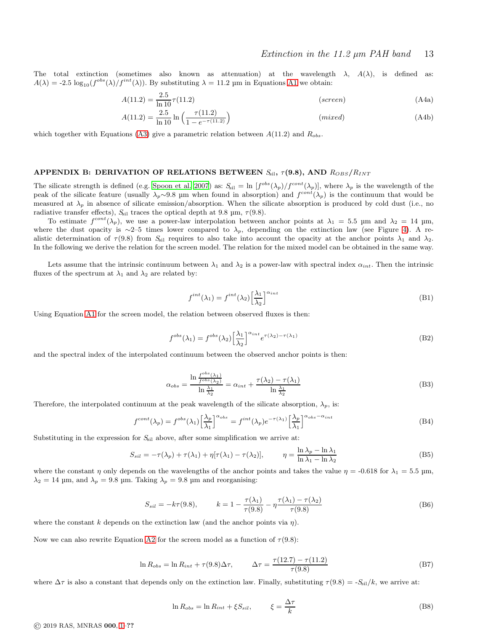The total extinction (sometimes also known as attenuation) at the wavelength  $\lambda$ ,  $A(\lambda)$ , is defined as:  $A(\lambda) = -2.5 \log_{10}(f^{obs}(\lambda)/f^{int}(\lambda))$ . By substituting  $\lambda = 11.2 \mu m$  in Equations [A1](#page-11-3) we obtain:

$$
A(11.2) = \frac{2.5}{\ln 10} \tau(11.2)
$$
 (screen) (A4a)

$$
A(11.2) = \frac{2.5}{\ln 10} \ln \left( \frac{\tau(11.2)}{1 - e^{-\tau(11.2)}} \right)
$$
 (mixed) (A4b)

which together with Equations [\(A3\)](#page-11-5) give a parametric relation between  $A(11.2)$  and  $R_{obs}$ .

# <span id="page-12-0"></span>APPENDIX B: DERIVATION OF RELATIONS BETWEEN  $S_{\text{sil}}$ ,  $\tau(9.8)$ , AND  $R_{OBS}/R_{INT}$

The silicate strength is defined (e.g. [Spoon et al. 2007](#page-10-40)) as:  $S_{\text{sil}} = \ln \left[ f^{\text{obs}}(\lambda_p) / f^{\text{cont}}(\lambda_p) \right]$ , where  $\lambda_p$  is the wavelength of the peak of the silicate feature (usually  $\lambda_p \sim 9.8$  µm when found in absorption) and  $f^{cont}(\lambda_p)$  is the continuum that would be measured at  $\lambda_p$  in absence of silicate emission/absorption. When the silicate absorption is produced by cold dust (i.e., no radiative transfer effects),  $S_{\text{sil}}$  traces the optical depth at 9.8  $\mu$ m,  $\tau$ (9.8).

To estimate  $f^{cont}(\lambda_p)$ , we use a power-law interpolation between anchor points at  $\lambda_1 = 5.5$  µm and  $\lambda_2 = 14$  µm, where the dust opacity is ∼2–5 times lower compared to  $\lambda_p$ , depending on the extinction law (see Figure [4\)](#page-5-2). A realistic determination of  $\tau(9.8)$  from  $S_{\rm sil}$  requires to also take into account the opacity at the anchor points  $\lambda_1$  and  $\lambda_2$ . In the following we derive the relation for the screen model. The relation for the mixed model can be obtained in the same way.

Lets assume that the intrinsic continuum between  $\lambda_1$  and  $\lambda_2$  is a power-law with spectral index  $\alpha_{int}$ . Then the intrinsic fluxes of the spectrum at  $\lambda_1$  and  $\lambda_2$  are related by:

$$
f^{int}(\lambda_1) = f^{int}(\lambda_2) \left[\frac{\lambda_1}{\lambda_2}\right]^{\alpha_{int}} \tag{B1}
$$

Using Equation [A1](#page-11-3) for the screen model, the relation between observed fluxes is then:

$$
f^{obs}(\lambda_1) = f^{obs}(\lambda_2) \left[\frac{\lambda_1}{\lambda_2}\right]^{\alpha_{int}} e^{\tau(\lambda_2) - \tau(\lambda_1)}
$$
(B2)

and the spectral index of the interpolated continuum between the observed anchor points is then:

$$
\alpha_{obs} = \frac{\ln \frac{f^{obs}(\lambda_1)}{f^{obs}(\lambda_2)}}{\ln \frac{\lambda_1}{\lambda_2}} = \alpha_{int} + \frac{\tau(\lambda_2) - \tau(\lambda_1)}{\ln \frac{\lambda_1}{\lambda_2}}
$$
(B3)

Therefore, the interpolated continuum at the peak wavelength of the silicate absorption,  $\lambda_p$ , is:

$$
f^{cont}(\lambda_p) = f^{obs}(\lambda_1) \left[\frac{\lambda_p}{\lambda_1}\right]^{\alpha_{obs}} = f^{int}(\lambda_p) e^{-\tau(\lambda_1)} \left[\frac{\lambda_p}{\lambda_1}\right]^{\alpha_{obs} - \alpha_{int}} \tag{B4}
$$

Substituting in the expression for  $S_{\text{sil}}$  above, after some simplification we arrive at:

$$
S_{sil} = -\tau(\lambda_p) + \tau(\lambda_1) + \eta[\tau(\lambda_1) - \tau(\lambda_2)], \qquad \eta = \frac{\ln \lambda_p - \ln \lambda_1}{\ln \lambda_1 - \ln \lambda_2}
$$
 (B5)

where the constant  $\eta$  only depends on the wavelengths of the anchor points and takes the value  $\eta = -0.618$  for  $\lambda_1 = 5.5$  µm,  $\lambda_2 = 14$  µm, and  $\lambda_p = 9.8$  µm. Taking  $\lambda_p = 9.8$  µm and reorganising:

$$
S_{sil} = -k\tau(9.8), \qquad k = 1 - \frac{\tau(\lambda_1)}{\tau(9.8)} - \eta \frac{\tau(\lambda_1) - \tau(\lambda_2)}{\tau(9.8)}
$$
(B6)

where the constant k depends on the extinction law (and the anchor points via  $\eta$ ).

Now we can also rewrite Equation [A2](#page-11-4) for the screen model as a function of  $\tau(9.8)$ :

$$
\ln R_{obs} = \ln R_{int} + \tau(9.8)\Delta\tau, \qquad \Delta\tau = \frac{\tau(12.7) - \tau(11.2)}{\tau(9.8)} \tag{B7}
$$

where  $\Delta \tau$  is also a constant that depends only on the extinction law. Finally, substituting  $\tau(9.8) = S_{\text{sil}}/k$ , we arrive at:

$$
\ln R_{obs} = \ln R_{int} + \xi S_{sil}, \qquad \xi = \frac{\Delta \tau}{k}
$$
\n(B8)

© 2019 RAS, MNRAS 000, [1–](#page-0-0)??